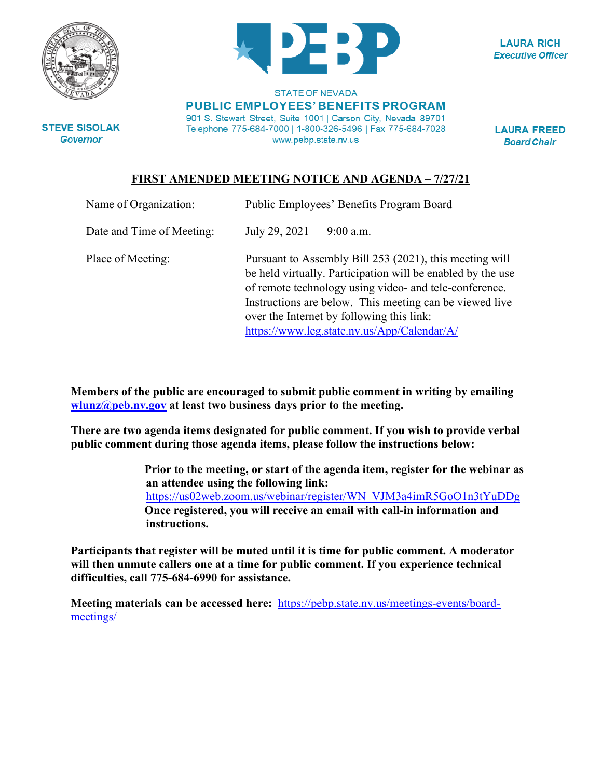



**LAURA RICH Executive Officer** 

**STATE OF NEVADA PUBLIC EMPLOYEES' BENEFITS PROGRAM** 901 S. Stewart Street, Suite 1001 | Carson City, Nevada 89701 Telephone 775-684-7000 | 1-800-326-5496 | Fax 775-684-7028 www.pebp.state.nv.us

**LAURA FREED Board Chair** 

## **FIRST AMENDED MEETING NOTICE AND AGENDA – 7/27/21**

| Name of Organization:     | Public Employees' Benefits Program Board                                                                                                                                                                                                                                                                                                |             |
|---------------------------|-----------------------------------------------------------------------------------------------------------------------------------------------------------------------------------------------------------------------------------------------------------------------------------------------------------------------------------------|-------------|
| Date and Time of Meeting: | July 29, 2021                                                                                                                                                                                                                                                                                                                           | $9:00$ a.m. |
| Place of Meeting:         | Pursuant to Assembly Bill 253 (2021), this meeting will<br>be held virtually. Participation will be enabled by the use<br>of remote technology using video- and tele-conference.<br>Instructions are below. This meeting can be viewed live<br>over the Internet by following this link:<br>https://www.leg.state.nv.us/App/Calendar/A/ |             |

**Members of the public are encouraged to submit public comment in writing by emailing [wlunz@peb.nv.gov](mailto:wlunz@peb.nv.gov) at least two business days prior to the meeting.**

**There are two agenda items designated for public comment. If you wish to provide verbal public comment during those agenda items, please follow the instructions below:**

> **Prior to the meeting, or start of the agenda item, register for the webinar as an attendee using the following link:**  [https://us02web.zoom.us/webinar/register/WN\\_VJM3a4imR5GoO1n3tYuDDg](https://us02web.zoom.us/webinar/register/WN_VJM3a4imR5GoO1n3tYuDDg) **Once registered, you will receive an email with call-in information and instructions.**

**Participants that register will be muted until it is time for public comment. A moderator will then unmute callers one at a time for public comment. If you experience technical difficulties, call 775-684-6990 for assistance.**

**Meeting materials can be accessed here:** [https://pebp.state.nv.us/meetings-events/board](https://pebp.state.nv.us/meetings-events/board-meetings/)[meetings/](https://pebp.state.nv.us/meetings-events/board-meetings/)

**STEVE SISOLAK Governor**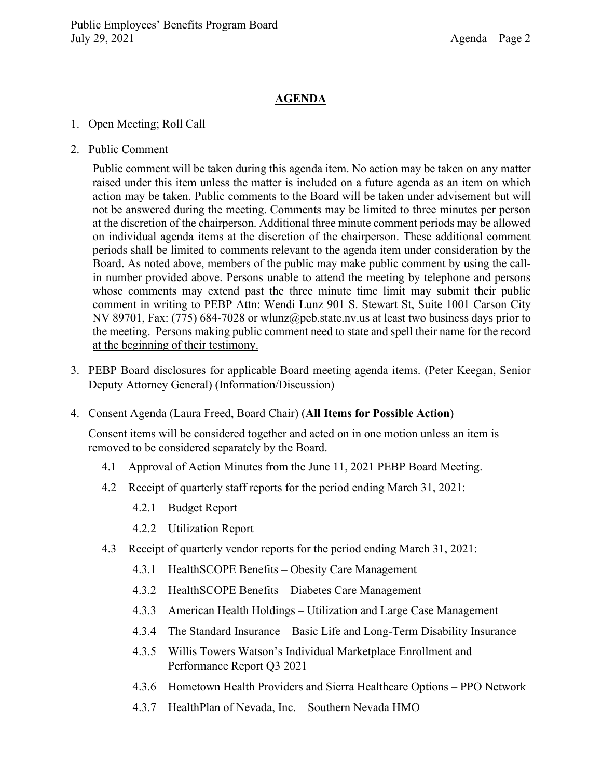## **AGENDA**

- 1. Open Meeting; Roll Call
- 2. Public Comment

Public comment will be taken during this agenda item. No action may be taken on any matter raised under this item unless the matter is included on a future agenda as an item on which action may be taken. Public comments to the Board will be taken under advisement but will not be answered during the meeting. Comments may be limited to three minutes per person at the discretion of the chairperson. Additional three minute comment periods may be allowed on individual agenda items at the discretion of the chairperson. These additional comment periods shall be limited to comments relevant to the agenda item under consideration by the Board. As noted above, members of the public may make public comment by using the callin number provided above. Persons unable to attend the meeting by telephone and persons whose comments may extend past the three minute time limit may submit their public comment in writing to PEBP Attn: Wendi Lunz 901 S. Stewart St, Suite 1001 Carson City NV 89701, Fax: (775) 684-7028 or wlunz@peb.state.nv.us at least two business days prior to the meeting. Persons making public comment need to state and spell their name for the record at the beginning of their testimony.

- 3. PEBP Board disclosures for applicable Board meeting agenda items. (Peter Keegan, Senior Deputy Attorney General) (Information/Discussion)
- 4. Consent Agenda (Laura Freed, Board Chair) (**All Items for Possible Action**)

Consent items will be considered together and acted on in one motion unless an item is removed to be considered separately by the Board.

- 4.1 Approval of Action Minutes from the June 11, 2021 PEBP Board Meeting.
- 4.2 Receipt of quarterly staff reports for the period ending March 31, 2021:
	- 4.2.1 Budget Report
	- 4.2.2 Utilization Report
- 4.3 Receipt of quarterly vendor reports for the period ending March 31, 2021:
	- 4.3.1 HealthSCOPE Benefits Obesity Care Management
	- 4.3.2 HealthSCOPE Benefits Diabetes Care Management
	- 4.3.3 American Health Holdings Utilization and Large Case Management
	- 4.3.4 The Standard Insurance Basic Life and Long-Term Disability Insurance
	- 4.3.5 Willis Towers Watson's Individual Marketplace Enrollment and Performance Report Q3 2021
	- 4.3.6 Hometown Health Providers and Sierra Healthcare Options PPO Network
	- 4.3.7 HealthPlan of Nevada, Inc. Southern Nevada HMO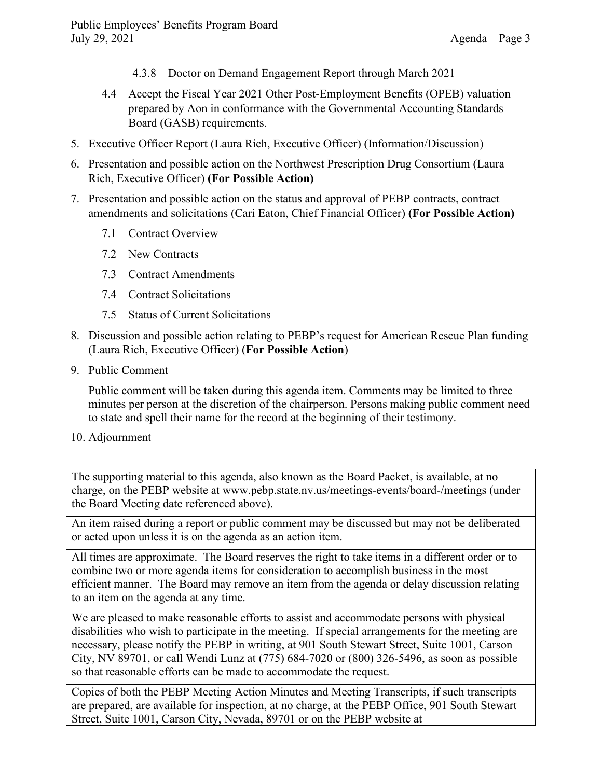- 4.3.8 Doctor on Demand Engagement Report through March 2021
- 4.4 Accept the Fiscal Year 2021 Other Post-Employment Benefits (OPEB) valuation prepared by Aon in conformance with the Governmental Accounting Standards Board (GASB) requirements.
- 5. Executive Officer Report (Laura Rich, Executive Officer) (Information/Discussion)
- 6. Presentation and possible action on the Northwest Prescription Drug Consortium (Laura Rich, Executive Officer) **(For Possible Action)**
- 7. Presentation and possible action on the status and approval of PEBP contracts, contract amendments and solicitations (Cari Eaton, Chief Financial Officer) **(For Possible Action)**
	- 7.1 Contract Overview
	- 7.2 New Contracts
	- 7.3 Contract Amendments
	- 7.4 Contract Solicitations
	- 7.5 Status of Current Solicitations
- 8. Discussion and possible action relating to PEBP's request for American Rescue Plan funding (Laura Rich, Executive Officer) (**For Possible Action**)
- 9. Public Comment

Public comment will be taken during this agenda item. Comments may be limited to three minutes per person at the discretion of the chairperson. Persons making public comment need to state and spell their name for the record at the beginning of their testimony.

10. Adjournment

The supporting material to this agenda, also known as the Board Packet, is available, at no charge, on the PEBP website at www.pebp.state.nv.us/meetings-events/board-/meetings (under the Board Meeting date referenced above).

An item raised during a report or public comment may be discussed but may not be deliberated or acted upon unless it is on the agenda as an action item.

All times are approximate. The Board reserves the right to take items in a different order or to combine two or more agenda items for consideration to accomplish business in the most efficient manner. The Board may remove an item from the agenda or delay discussion relating to an item on the agenda at any time.

We are pleased to make reasonable efforts to assist and accommodate persons with physical disabilities who wish to participate in the meeting. If special arrangements for the meeting are necessary, please notify the PEBP in writing, at 901 South Stewart Street, Suite 1001, Carson City, NV 89701, or call Wendi Lunz at (775) 684-7020 or (800) 326-5496, as soon as possible so that reasonable efforts can be made to accommodate the request.

Copies of both the PEBP Meeting Action Minutes and Meeting Transcripts, if such transcripts are prepared, are available for inspection, at no charge, at the PEBP Office, 901 South Stewart Street, Suite 1001, Carson City, Nevada, 89701 or on the PEBP website at